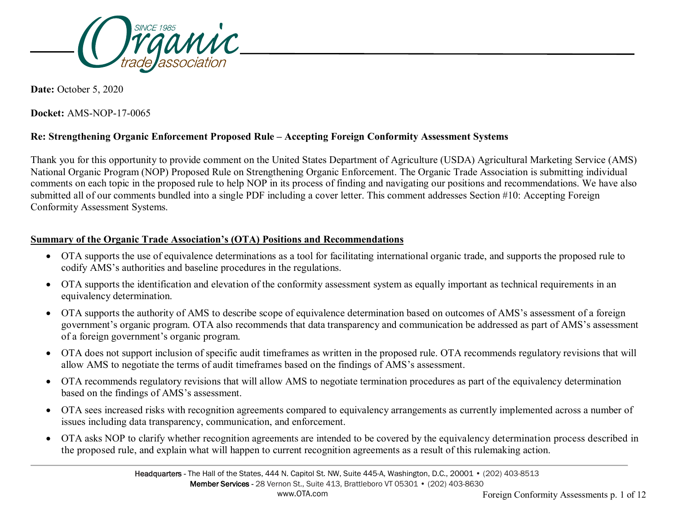

**Date:** October 5, 2020

**Docket:** AMS-NOP-17-0065

## **Re: Strengthening Organic Enforcement Proposed Rule – Accepting Foreign Conformity Assessment Systems**

Thank you for this opportunity to provide comment on the United States Department of Agriculture (USDA) Agricultural Marketing Service (AMS) National Organic Program (NOP) Proposed Rule on Strengthening Organic Enforcement. The Organic Trade Association is submitting individual comments on each topic in the proposed rule to help NOP in its process of finding and navigating our positions and recommendations. We have also submitted all of our comments bundled into a single PDF including a cover letter. This comment addresses Section #10: Accepting Foreign Conformity Assessment Systems.

## **Summary of the Organic Trade Association's (OTA) Positions and Recommendations**

- OTA supports the use of equivalence determinations as a tool for facilitating international organic trade, and supports the proposed rule to codify AMS's authorities and baseline procedures in the regulations.
- OTA supports the identification and elevation of the conformity assessment system as equally important as technical requirements in an equivalency determination.
- OTA supports the authority of AMS to describe scope of equivalence determination based on outcomes of AMS's assessment of a foreign government's organic program. OTA also recommends that data transparency and communication be addressed as part of AMS's assessment of a foreign government's organic program.
- OTA does not support inclusion of specific audit timeframes as written in the proposed rule. OTA recommends regulatory revisions that will allow AMS to negotiate the terms of audit timeframes based on the findings of AMS's assessment.
- OTA recommends regulatory revisions that will allow AMS to negotiate termination procedures as part of the equivalency determination based on the findings of AMS's assessment.
- OTA sees increased risks with recognition agreements compared to equivalency arrangements as currently implemented across a number of issues including data transparency, communication, and enforcement.
- OTA asks NOP to clarify whether recognition agreements are intended to be covered by the equivalency determination process described in the proposed rule, and explain what will happen to current recognition agreements as a result of this rulemaking action.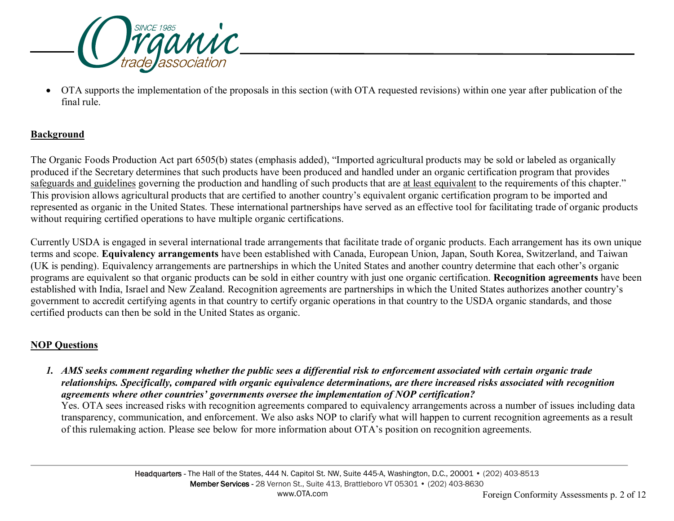

• OTA supports the implementation of the proposals in this section (with OTA requested revisions) within one year after publication of the final rule.

## **Background**

The Organic Foods Production Act part 6505(b) states (emphasis added), "Imported agricultural products may be sold or labeled as organically produced if the Secretary determines that such products have been produced and handled under an organic certification program that provides safeguards and guidelines governing the production and handling of such products that are at least equivalent to the requirements of this chapter." This provision allows agricultural products that are certified to another country's equivalent organic certification program to be imported and represented as organic in the United States. These international partnerships have served as an effective tool for facilitating trade of organic products without requiring certified operations to have multiple organic certifications.

Currently USDA is engaged in several international trade arrangements that facilitate trade of organic products. Each arrangement has its own unique terms and scope. **Equivalency arrangements** have been established with Canada, European Union, Japan, South Korea, Switzerland, and Taiwan (UK is pending). Equivalency arrangements are partnerships in which the United States and another country determine that each other's organic programs are equivalent so that organic products can be sold in either country with just one organic certification. **Recognition agreements** have been established with India, Israel and New Zealand. Recognition agreements are partnerships in which the United States authorizes another country's government to accredit certifying agents in that country to certify organic operations in that country to the USDA organic standards, and those certified products can then be sold in the United States as organic.

#### **NOP Questions**

*1. AMS seeks comment regarding whether the public sees a differential risk to enforcement associated with certain organic trade relationships. Specifically, compared with organic equivalence determinations, are there increased risks associated with recognition agreements where other countries' governments oversee the implementation of NOP certification?*

Yes. OTA sees increased risks with recognition agreements compared to equivalency arrangements across a number of issues including data transparency, communication, and enforcement. We also asks NOP to clarify what will happen to current recognition agreements as a result of this rulemaking action. Please see below for more information about OTA's position on recognition agreements.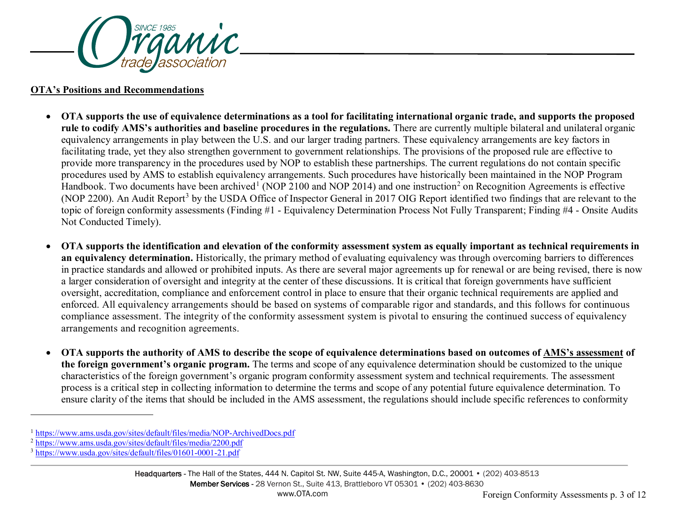<span id="page-2-2"></span><span id="page-2-1"></span><span id="page-2-0"></span>

## **OTA's Positions and Recommendations**

- **OTA supports the use of equivalence determinations as a tool for facilitating international organic trade, and supports the proposed rule to codify AMS's authorities and baseline procedures in the regulations.** There are currently multiple bilateral and unilateral organic equivalency arrangements in play between the U.S. and our larger trading partners. These equivalency arrangements are key factors in facilitating trade, yet they also strengthen government to government relationships. The provisions of the proposed rule are effective to provide more transparency in the procedures used by NOP to establish these partnerships. The current regulations do not contain specific procedures used by AMS to establish equivalency arrangements. Such procedures have historically been maintained in the NOP Program Handbook. Two documents have been archived<sup>[1](#page-2-0)</sup> (NOP [2](#page-2-1)100 and NOP 2014) and one instruction<sup>2</sup> on Recognition Agreements is effective (NOP 2200). An Audit Report<sup>[3](#page-2-2)</sup> by the USDA Office of Inspector General in 2017 OIG Report identified two findings that are relevant to the topic of foreign conformity assessments (Finding #1 - Equivalency Determination Process Not Fully Transparent; Finding #4 - Onsite Audits Not Conducted Timely).
- **OTA supports the identification and elevation of the conformity assessment system as equally important as technical requirements in an equivalency determination.** Historically, the primary method of evaluating equivalency was through overcoming barriers to differences in practice standards and allowed or prohibited inputs. As there are several major agreements up for renewal or are being revised, there is now a larger consideration of oversight and integrity at the center of these discussions. It is critical that foreign governments have sufficient oversight, accreditation, compliance and enforcement control in place to ensure that their organic technical requirements are applied and enforced. All equivalency arrangements should be based on systems of comparable rigor and standards, and this follows for continuous compliance assessment. The integrity of the conformity assessment system is pivotal to ensuring the continued success of equivalency arrangements and recognition agreements.
- **OTA supports the authority of AMS to describe the scope of equivalence determinations based on outcomes of AMS's assessment of the foreign government's organic program.** The terms and scope of any equivalence determination should be customized to the unique characteristics of the foreign government's organic program conformity assessment system and technical requirements. The assessment process is a critical step in collecting information to determine the terms and scope of any potential future equivalence determination. To ensure clarity of the items that should be included in the AMS assessment, the regulations should include specific references to conformity

-

<sup>1</sup> <https://www.ams.usda.gov/sites/default/files/media/NOP-ArchivedDocs.pdf>

<sup>&</sup>lt;sup>2</sup> <https://www.ams.usda.gov/sites/default/files/media/2200.pdf>

<sup>3</sup> <https://www.usda.gov/sites/default/files/01601-0001-21.pdf>

Headquarters - The Hall of the States, 444 N. Capitol St. NW, Suite 445-A, Washington, D.C., 20001 • (202) 403-8513 Member Services - 28 Vernon St., Suite 413, Brattleboro VT 05301 • (202) 403-8630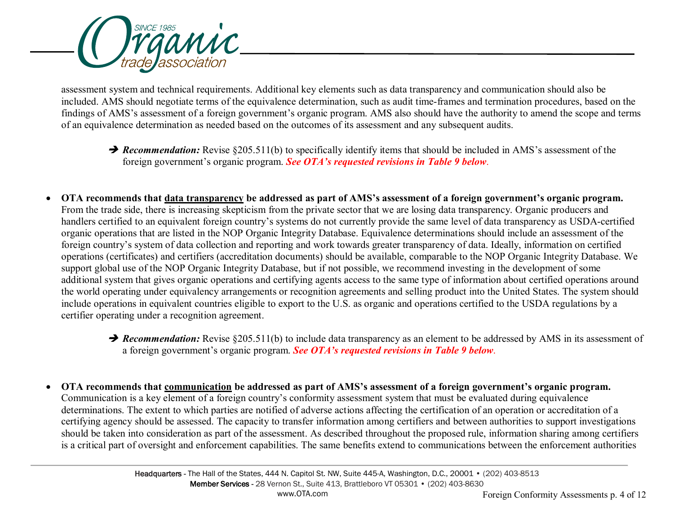

assessment system and technical requirements. Additional key elements such as data transparency and communication should also be included. AMS should negotiate terms of the equivalence determination, such as audit time-frames and termination procedures, based on the findings of AMS's assessment of a foreign government's organic program. AMS also should have the authority to amend the scope and terms of an equivalence determination as needed based on the outcomes of its assessment and any subsequent audits.

- **→ Recommendation:** Revise §205.511(b) to specifically identify items that should be included in AMS's assessment of the foreign government's organic program. *See OTA's requested revisions in Table 9 below*.
- **OTA recommends that data transparency be addressed as part of AMS's assessment of a foreign government's organic program.** From the trade side, there is increasing skepticism from the private sector that we are losing data transparency. Organic producers and handlers certified to an equivalent foreign country's systems do not currently provide the same level of data transparency as USDA-certified organic operations that are listed in the NOP Organic Integrity Database. Equivalence determinations should include an assessment of the foreign country's system of data collection and reporting and work towards greater transparency of data. Ideally, information on certified operations (certificates) and certifiers (accreditation documents) should be available, comparable to the NOP Organic Integrity Database. We support global use of the NOP Organic Integrity Database, but if not possible, we recommend investing in the development of some additional system that gives organic operations and certifying agents access to the same type of information about certified operations around the world operating under equivalency arrangements or recognition agreements and selling product into the United States. The system should include operations in equivalent countries eligible to export to the U.S. as organic and operations certified to the USDA regulations by a certifier operating under a recognition agreement.
	- **→ Recommendation:** Revise §205.511(b) to include data transparency as an element to be addressed by AMS in its assessment of a foreign government's organic program. *See OTA's requested revisions in Table 9 below*.
- **OTA recommends that communication be addressed as part of AMS's assessment of a foreign government's organic program.** Communication is a key element of a foreign country's conformity assessment system that must be evaluated during equivalence determinations. The extent to which parties are notified of adverse actions affecting the certification of an operation or accreditation of a certifying agency should be assessed. The capacity to transfer information among certifiers and between authorities to support investigations should be taken into consideration as part of the assessment. As described throughout the proposed rule, information sharing among certifiers is a critical part of oversight and enforcement capabilities. The same benefits extend to communications between the enforcement authorities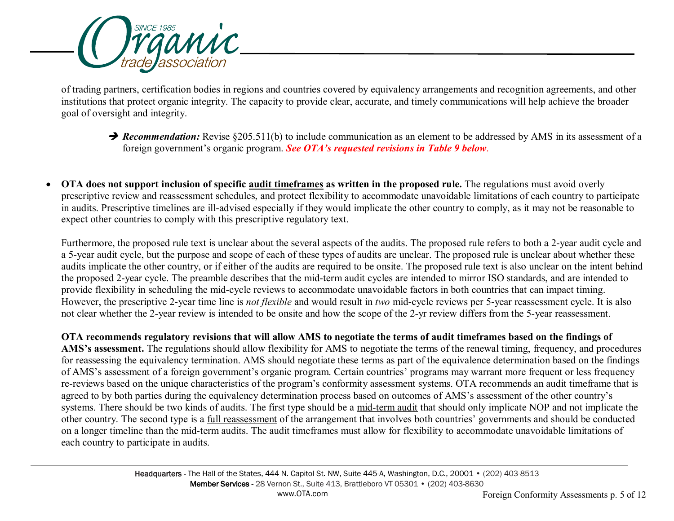

of trading partners, certification bodies in regions and countries covered by equivalency arrangements and recognition agreements, and other institutions that protect organic integrity. The capacity to provide clear, accurate, and timely communications will help achieve the broader goal of oversight and integrity.

- **→ Recommendation:** Revise §205.511(b) to include communication as an element to be addressed by AMS in its assessment of a foreign government's organic program. *See OTA's requested revisions in Table 9 below*.
- **OTA does not support inclusion of specific audit timeframes as written in the proposed rule.** The regulations must avoid overly prescriptive review and reassessment schedules, and protect flexibility to accommodate unavoidable limitations of each country to participate in audits. Prescriptive timelines are ill-advised especially if they would implicate the other country to comply, as it may not be reasonable to expect other countries to comply with this prescriptive regulatory text.

Furthermore, the proposed rule text is unclear about the several aspects of the audits. The proposed rule refers to both a 2-year audit cycle and a 5-year audit cycle, but the purpose and scope of each of these types of audits are unclear. The proposed rule is unclear about whether these audits implicate the other country, or if either of the audits are required to be onsite. The proposed rule text is also unclear on the intent behind the proposed 2-year cycle. The preamble describes that the mid-term audit cycles are intended to mirror ISO standards, and are intended to provide flexibility in scheduling the mid-cycle reviews to accommodate unavoidable factors in both countries that can impact timing. However, the prescriptive 2-year time line is *not flexible* and would result in *two* mid-cycle reviews per 5-year reassessment cycle. It is also not clear whether the 2-year review is intended to be onsite and how the scope of the 2-yr review differs from the 5-year reassessment.

**OTA recommends regulatory revisions that will allow AMS to negotiate the terms of audit timeframes based on the findings of AMS's assessment.** The regulations should allow flexibility for AMS to negotiate the terms of the renewal timing, frequency, and procedures for reassessing the equivalency termination. AMS should negotiate these terms as part of the equivalence determination based on the findings of AMS's assessment of a foreign government's organic program. Certain countries' programs may warrant more frequent or less frequency re-reviews based on the unique characteristics of the program's conformity assessment systems. OTA recommends an audit timeframe that is agreed to by both parties during the equivalency determination process based on outcomes of AMS's assessment of the other country's systems. There should be two kinds of audits. The first type should be a mid-term audit that should only implicate NOP and not implicate the other country. The second type is a full reassessment of the arrangement that involves both countries' governments and should be conducted on a longer timeline than the mid-term audits. The audit timeframes must allow for flexibility to accommodate unavoidable limitations of each country to participate in audits.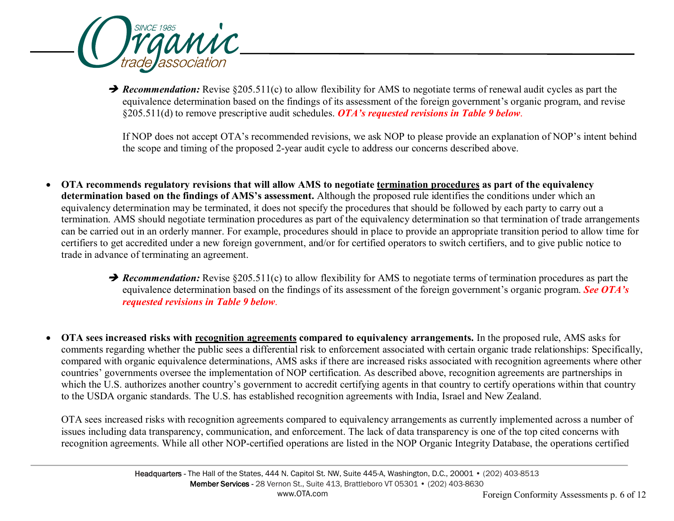

**→ Recommendation:** Revise §205.511(c) to allow flexibility for AMS to negotiate terms of renewal audit cycles as part the equivalence determination based on the findings of its assessment of the foreign government's organic program, and revise §205.511(d) to remove prescriptive audit schedules. *OTA's requested revisions in Table 9 below*.

If NOP does not accept OTA's recommended revisions, we ask NOP to please provide an explanation of NOP's intent behind the scope and timing of the proposed 2-year audit cycle to address our concerns described above.

- **OTA recommends regulatory revisions that will allow AMS to negotiate termination procedures as part of the equivalency determination based on the findings of AMS's assessment.** Although the proposed rule identifies the conditions under which an equivalency determination may be terminated, it does not specify the procedures that should be followed by each party to carry out a termination. AMS should negotiate termination procedures as part of the equivalency determination so that termination of trade arrangements can be carried out in an orderly manner. For example, procedures should in place to provide an appropriate transition period to allow time for certifiers to get accredited under a new foreign government, and/or for certified operators to switch certifiers, and to give public notice to trade in advance of terminating an agreement.
	- **→ Recommendation:** Revise §205.511(c) to allow flexibility for AMS to negotiate terms of termination procedures as part the equivalence determination based on the findings of its assessment of the foreign government's organic program. *See OTA's requested revisions in Table 9 below*.
- **OTA sees increased risks with recognition agreements compared to equivalency arrangements.** In the proposed rule, AMS asks for comments regarding whether the public sees a differential risk to enforcement associated with certain organic trade relationships: Specifically, compared with organic equivalence determinations, AMS asks if there are increased risks associated with recognition agreements where other countries' governments oversee the implementation of NOP certification. As described above, recognition agreements are partnerships in which the U.S. authorizes another country's government to accredit certifying agents in that country to certify operations within that country to the USDA organic standards. The U.S. has established recognition agreements with India, Israel and New Zealand.

OTA sees increased risks with recognition agreements compared to equivalency arrangements as currently implemented across a number of issues including data transparency, communication, and enforcement. The lack of data transparency is one of the top cited concerns with recognition agreements. While all other NOP-certified operations are listed in the NOP Organic Integrity Database, the operations certified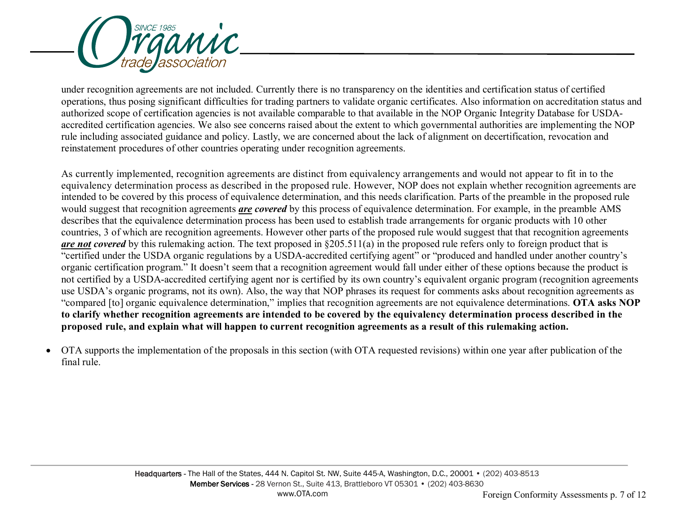

under recognition agreements are not included. Currently there is no transparency on the identities and certification status of certified operations, thus posing significant difficulties for trading partners to validate organic certificates. Also information on accreditation status and authorized scope of certification agencies is not available comparable to that available in the NOP Organic Integrity Database for USDAaccredited certification agencies. We also see concerns raised about the extent to which governmental authorities are implementing the NOP rule including associated guidance and policy. Lastly, we are concerned about the lack of alignment on decertification, revocation and reinstatement procedures of other countries operating under recognition agreements.

As currently implemented, recognition agreements are distinct from equivalency arrangements and would not appear to fit in to the equivalency determination process as described in the proposed rule. However, NOP does not explain whether recognition agreements are intended to be covered by this process of equivalence determination, and this needs clarification. Parts of the preamble in the proposed rule would suggest that recognition agreements *are covered* by this process of equivalence determination. For example, in the preamble AMS describes that the equivalence determination process has been used to establish trade arrangements for organic products with 10 other countries, 3 of which are recognition agreements. However other parts of the proposed rule would suggest that that recognition agreements *are not covered* by this rulemaking action. The text proposed in §205.511(a) in the proposed rule refers only to foreign product that is "certified under the USDA organic regulations by a USDA-accredited certifying agent" or "produced and handled under another country's organic certification program." It doesn't seem that a recognition agreement would fall under either of these options because the product is not certified by a USDA-accredited certifying agent nor is certified by its own country's equivalent organic program (recognition agreements use USDA's organic programs, not its own). Also, the way that NOP phrases its request for comments asks about recognition agreements as "compared [to] organic equivalence determination," implies that recognition agreements are not equivalence determinations. **OTA asks NOP to clarify whether recognition agreements are intended to be covered by the equivalency determination process described in the proposed rule, and explain what will happen to current recognition agreements as a result of this rulemaking action.**

• OTA supports the implementation of the proposals in this section (with OTA requested revisions) within one year after publication of the final rule.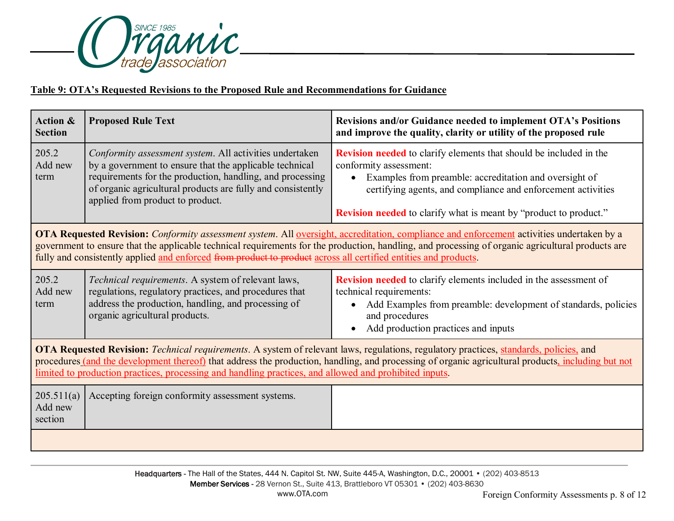

# **Table 9: OTA's Requested Revisions to the Proposed Rule and Recommendations for Guidance**

| <b>Action &amp;</b><br><b>Section</b>                                                                                                                                                                                                                                                                                                                                                                             | <b>Proposed Rule Text</b>                                                                                                                                                                                                                                                          | Revisions and/or Guidance needed to implement OTA's Positions<br>and improve the quality, clarity or utility of the proposed rule                                                                                                                                                                         |  |
|-------------------------------------------------------------------------------------------------------------------------------------------------------------------------------------------------------------------------------------------------------------------------------------------------------------------------------------------------------------------------------------------------------------------|------------------------------------------------------------------------------------------------------------------------------------------------------------------------------------------------------------------------------------------------------------------------------------|-----------------------------------------------------------------------------------------------------------------------------------------------------------------------------------------------------------------------------------------------------------------------------------------------------------|--|
| 205.2<br>Add new<br>term                                                                                                                                                                                                                                                                                                                                                                                          | Conformity assessment system. All activities undertaken<br>by a government to ensure that the applicable technical<br>requirements for the production, handling, and processing<br>of organic agricultural products are fully and consistently<br>applied from product to product. | <b>Revision needed</b> to clarify elements that should be included in the<br>conformity assessment:<br>Examples from preamble: accreditation and oversight of<br>certifying agents, and compliance and enforcement activities<br><b>Revision needed</b> to clarify what is meant by "product to product." |  |
| OTA Requested Revision: Conformity assessment system. All oversight, accreditation, compliance and enforcement activities undertaken by a<br>government to ensure that the applicable technical requirements for the production, handling, and processing of organic agricultural products are<br>fully and consistently applied and enforced from product to product across all certified entities and products. |                                                                                                                                                                                                                                                                                    |                                                                                                                                                                                                                                                                                                           |  |
| 205.2<br>Add new<br>term                                                                                                                                                                                                                                                                                                                                                                                          | Technical requirements. A system of relevant laws,<br>regulations, regulatory practices, and procedures that<br>address the production, handling, and processing of<br>organic agricultural products.                                                                              | Revision needed to clarify elements included in the assessment of<br>technical requirements:<br>Add Examples from preamble: development of standards, policies<br>and procedures<br>Add production practices and inputs                                                                                   |  |
| OTA Requested Revision: Technical requirements. A system of relevant laws, regulations, regulatory practices, standards, policies, and<br>procedures (and the development thereof) that address the production, handling, and processing of organic agricultural products, including but not<br>limited to production practices, processing and handling practices, and allowed and prohibited inputs.            |                                                                                                                                                                                                                                                                                    |                                                                                                                                                                                                                                                                                                           |  |
| 205.511(a)<br>Add new<br>section                                                                                                                                                                                                                                                                                                                                                                                  | Accepting foreign conformity assessment systems.                                                                                                                                                                                                                                   |                                                                                                                                                                                                                                                                                                           |  |
|                                                                                                                                                                                                                                                                                                                                                                                                                   |                                                                                                                                                                                                                                                                                    |                                                                                                                                                                                                                                                                                                           |  |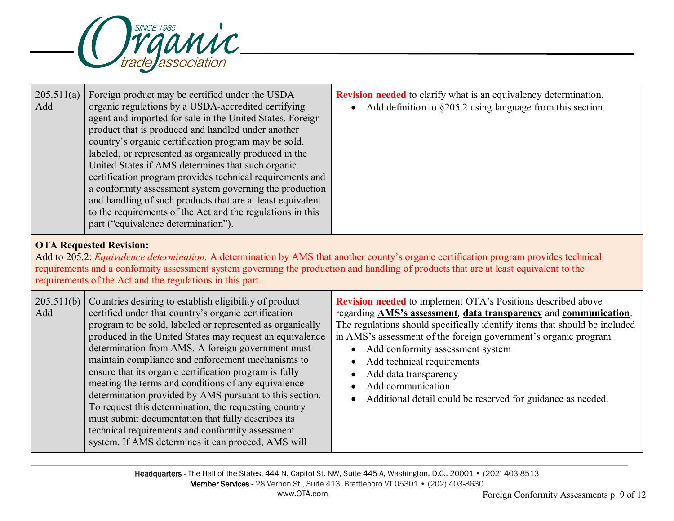

| 205.511(a)<br>Add                                                                                                                                                                                                                                                                                                                                                                      | Foreign product may be certified under the USDA<br>organic regulations by a USDA-accredited certifying<br>agent and imported for sale in the United States. Foreign<br>product that is produced and handled under another<br>country's organic certification program may be sold,<br>labeled, or represented as organically produced in the<br>United States if AMS determines that such organic<br>certification program provides technical requirements and<br>a conformity assessment system governing the production<br>and handling of such products that are at least equivalent<br>to the requirements of the Act and the regulations in this<br>part ("equivalence determination").                                                            | <b>Revision needed</b> to clarify what is an equivalency determination.<br>Add definition to §205.2 using language from this section.<br>$\bullet$                                                                                                                                                                                                                                                                                                                               |  |  |
|----------------------------------------------------------------------------------------------------------------------------------------------------------------------------------------------------------------------------------------------------------------------------------------------------------------------------------------------------------------------------------------|--------------------------------------------------------------------------------------------------------------------------------------------------------------------------------------------------------------------------------------------------------------------------------------------------------------------------------------------------------------------------------------------------------------------------------------------------------------------------------------------------------------------------------------------------------------------------------------------------------------------------------------------------------------------------------------------------------------------------------------------------------|----------------------------------------------------------------------------------------------------------------------------------------------------------------------------------------------------------------------------------------------------------------------------------------------------------------------------------------------------------------------------------------------------------------------------------------------------------------------------------|--|--|
| <b>OTA Requested Revision:</b><br>Add to 205.2: <i>Equivalence determination</i> . A determination by AMS that another county's organic certification program provides technical<br>requirements and a conformity assessment system governing the production and handling of products that are at least equivalent to the<br>requirements of the Act and the regulations in this part. |                                                                                                                                                                                                                                                                                                                                                                                                                                                                                                                                                                                                                                                                                                                                                        |                                                                                                                                                                                                                                                                                                                                                                                                                                                                                  |  |  |
| 205.511(b)<br>Add                                                                                                                                                                                                                                                                                                                                                                      | Countries desiring to establish eligibility of product<br>certified under that country's organic certification<br>program to be sold, labeled or represented as organically<br>produced in the United States may request an equivalence<br>determination from AMS. A foreign government must<br>maintain compliance and enforcement mechanisms to<br>ensure that its organic certification program is fully<br>meeting the terms and conditions of any equivalence<br>determination provided by AMS pursuant to this section.<br>To request this determination, the requesting country<br>must submit documentation that fully describes its<br>technical requirements and conformity assessment<br>system. If AMS determines it can proceed, AMS will | <b>Revision needed</b> to implement OTA's Positions described above<br>regarding <b>AMS's assessment</b> , data transparency and communication.<br>The regulations should specifically identify items that should be included<br>in AMS's assessment of the foreign government's organic program.<br>Add conformity assessment system<br>Add technical requirements<br>Add data transparency<br>Add communication<br>Additional detail could be reserved for guidance as needed. |  |  |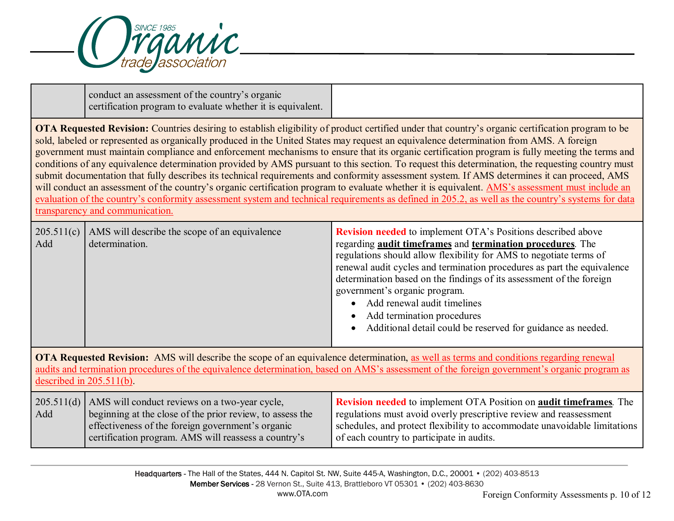

|                                                                                                                                                                                                                                                                                                                       | conduct an assessment of the country's organic<br>certification program to evaluate whether it is equivalent.                                                                                                                                                                                                                                                                                                                                                                                                                                                                                                                                                                                                                                                                                                                                                                                                                                                                                                                                                                                  |                                                                                                                                                                                                                                                                                                                                                                                                                                                                                                                                        |  |
|-----------------------------------------------------------------------------------------------------------------------------------------------------------------------------------------------------------------------------------------------------------------------------------------------------------------------|------------------------------------------------------------------------------------------------------------------------------------------------------------------------------------------------------------------------------------------------------------------------------------------------------------------------------------------------------------------------------------------------------------------------------------------------------------------------------------------------------------------------------------------------------------------------------------------------------------------------------------------------------------------------------------------------------------------------------------------------------------------------------------------------------------------------------------------------------------------------------------------------------------------------------------------------------------------------------------------------------------------------------------------------------------------------------------------------|----------------------------------------------------------------------------------------------------------------------------------------------------------------------------------------------------------------------------------------------------------------------------------------------------------------------------------------------------------------------------------------------------------------------------------------------------------------------------------------------------------------------------------------|--|
|                                                                                                                                                                                                                                                                                                                       | OTA Requested Revision: Countries desiring to establish eligibility of product certified under that country's organic certification program to be<br>sold, labeled or represented as organically produced in the United States may request an equivalence determination from AMS. A foreign<br>government must maintain compliance and enforcement mechanisms to ensure that its organic certification program is fully meeting the terms and<br>conditions of any equivalence determination provided by AMS pursuant to this section. To request this determination, the requesting country must<br>submit documentation that fully describes its technical requirements and conformity assessment system. If AMS determines it can proceed, AMS<br>will conduct an assessment of the country's organic certification program to evaluate whether it is equivalent. AMS's assessment must include an<br>evaluation of the country's conformity assessment system and technical requirements as defined in 205.2, as well as the country's systems for data<br>transparency and communication. |                                                                                                                                                                                                                                                                                                                                                                                                                                                                                                                                        |  |
| 205.511(c)<br>Add                                                                                                                                                                                                                                                                                                     | AMS will describe the scope of an equivalence<br>determination.                                                                                                                                                                                                                                                                                                                                                                                                                                                                                                                                                                                                                                                                                                                                                                                                                                                                                                                                                                                                                                | <b>Revision needed</b> to implement OTA's Positions described above<br>regarding <b>audit timeframes</b> and <b>termination procedures</b> . The<br>regulations should allow flexibility for AMS to negotiate terms of<br>renewal audit cycles and termination procedures as part the equivalence<br>determination based on the findings of its assessment of the foreign<br>government's organic program.<br>Add renewal audit timelines<br>Add termination procedures<br>Additional detail could be reserved for guidance as needed. |  |
| OTA Requested Revision: AMS will describe the scope of an equivalence determination, as well as terms and conditions regarding renewal<br>audits and termination procedures of the equivalence determination, based on AMS's assessment of the foreign government's organic program as<br>described in $205.511(b)$ . |                                                                                                                                                                                                                                                                                                                                                                                                                                                                                                                                                                                                                                                                                                                                                                                                                                                                                                                                                                                                                                                                                                |                                                                                                                                                                                                                                                                                                                                                                                                                                                                                                                                        |  |
| 205.511(d)<br>Add                                                                                                                                                                                                                                                                                                     | AMS will conduct reviews on a two-year cycle,<br>beginning at the close of the prior review, to assess the<br>effectiveness of the foreign government's organic<br>certification program. AMS will reassess a country's                                                                                                                                                                                                                                                                                                                                                                                                                                                                                                                                                                                                                                                                                                                                                                                                                                                                        | Revision needed to implement OTA Position on <b>audit timeframes</b> . The<br>regulations must avoid overly prescriptive review and reassessment<br>schedules, and protect flexibility to accommodate unavoidable limitations<br>of each country to participate in audits.                                                                                                                                                                                                                                                             |  |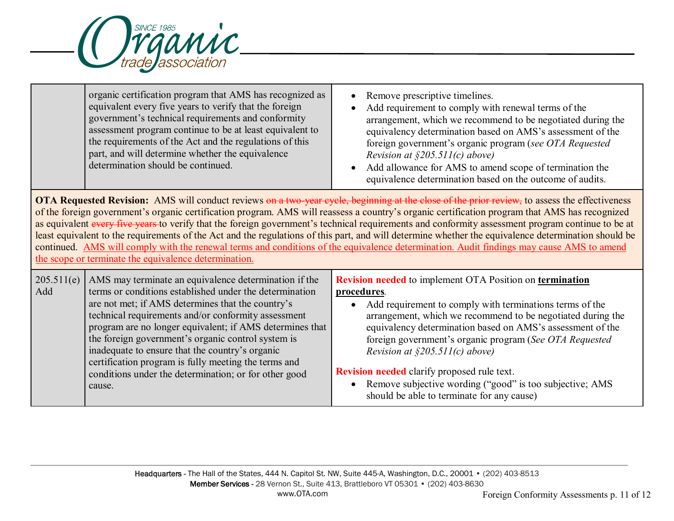

|                                                                                                                                                                                                                                                                                                                                                                                                                                                                                                                                                                                                                                                                                                                                                                                                                   | organic certification program that AMS has recognized as<br>equivalent every five years to verify that the foreign<br>government's technical requirements and conformity<br>assessment program continue to be at least equivalent to<br>the requirements of the Act and the regulations of this<br>part, and will determine whether the equivalence<br>determination should be continued.                                                                                                                                    | Remove prescriptive timelines.<br>$\bullet$<br>Add requirement to comply with renewal terms of the<br>arrangement, which we recommend to be negotiated during the<br>equivalency determination based on AMS's assessment of the<br>foreign government's organic program (see OTA Requested<br>Revision at $\S205.511(c)$ above)<br>Add allowance for AMS to amend scope of termination the<br>equivalence determination based on the outcome of audits.                                                                                                     |  |  |
|-------------------------------------------------------------------------------------------------------------------------------------------------------------------------------------------------------------------------------------------------------------------------------------------------------------------------------------------------------------------------------------------------------------------------------------------------------------------------------------------------------------------------------------------------------------------------------------------------------------------------------------------------------------------------------------------------------------------------------------------------------------------------------------------------------------------|------------------------------------------------------------------------------------------------------------------------------------------------------------------------------------------------------------------------------------------------------------------------------------------------------------------------------------------------------------------------------------------------------------------------------------------------------------------------------------------------------------------------------|-------------------------------------------------------------------------------------------------------------------------------------------------------------------------------------------------------------------------------------------------------------------------------------------------------------------------------------------------------------------------------------------------------------------------------------------------------------------------------------------------------------------------------------------------------------|--|--|
| OTA Requested Revision: AMS will conduct reviews on a two-year eyele, beginning at the close of the prior review, to assess the effectiveness<br>of the foreign government's organic certification program. AMS will reassess a country's organic certification program that AMS has recognized<br>as equivalent every five years to verify that the foreign government's technical requirements and conformity assessment program continue to be at<br>least equivalent to the requirements of the Act and the regulations of this part, and will determine whether the equivalence determination should be<br>continued. AMS will comply with the renewal terms and conditions of the equivalence determination. Audit findings may cause AMS to amend<br>the scope or terminate the equivalence determination. |                                                                                                                                                                                                                                                                                                                                                                                                                                                                                                                              |                                                                                                                                                                                                                                                                                                                                                                                                                                                                                                                                                             |  |  |
| 205.511(e)<br>Add                                                                                                                                                                                                                                                                                                                                                                                                                                                                                                                                                                                                                                                                                                                                                                                                 | AMS may terminate an equivalence determination if the<br>terms or conditions established under the determination<br>are not met; if AMS determines that the country's<br>technical requirements and/or conformity assessment<br>program are no longer equivalent; if AMS determines that<br>the foreign government's organic control system is<br>inadequate to ensure that the country's organic<br>certification program is fully meeting the terms and<br>conditions under the determination; or for other good<br>cause. | <b>Revision needed</b> to implement OTA Position on <b>termination</b><br>procedures.<br>Add requirement to comply with terminations terms of the<br>arrangement, which we recommend to be negotiated during the<br>equivalency determination based on AMS's assessment of the<br>foreign government's organic program (See OTA Requested<br>Revision at $\S205.511(c)$ above)<br><b>Revision needed</b> clarify proposed rule text.<br>Remove subjective wording ("good" is too subjective; AMS<br>$\bullet$<br>should be able to terminate for any cause) |  |  |